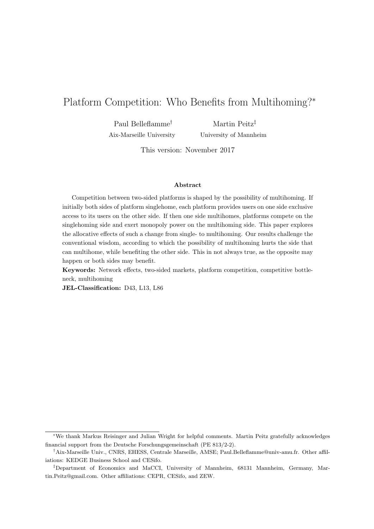# Platform Competition: Who Benefits from Multihoming?<sup>∗</sup>

Paul Belleflamme† Aix-Marseille University Martin Peitz‡ University of Mannheim

This version: November 2017

#### Abstract

Competition between two-sided platforms is shaped by the possibility of multihoming. If initially both sides of platform singlehome, each platform provides users on one side exclusive access to its users on the other side. If then one side multihomes, platforms compete on the singlehoming side and exert monopoly power on the multihoming side. This paper explores the allocative effects of such a change from single- to multihoming. Our results challenge the conventional wisdom, according to which the possibility of multihoming hurts the side that can multihome, while benefiting the other side. This in not always true, as the opposite may happen or both sides may benefit.

Keywords: Network effects, two-sided markets, platform competition, competitive bottleneck, multihoming

JEL-Classification: D43, L13, L86

<sup>∗</sup>We thank Markus Reisinger and Julian Wright for helpful comments. Martin Peitz gratefully acknowledges financial support from the Deutsche Forschungsgemeinschaft (PE 813/2-2).

<sup>†</sup>Aix-Marseille Univ., CNRS, EHESS, Centrale Marseille, AMSE; Paul.Belleflamme@univ-amu.fr. Other affiliations: KEDGE Business School and CESifo.

<sup>‡</sup>Department of Economics and MaCCI, University of Mannheim, 68131 Mannheim, Germany, Martin.Peitz@gmail.com. Other affiliations: CEPR, CESifo, and ZEW.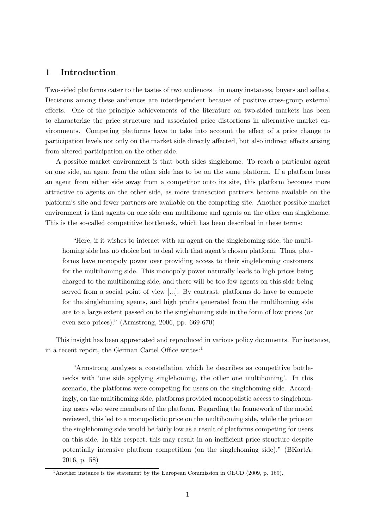# 1 Introduction

Two-sided platforms cater to the tastes of two audiences—in many instances, buyers and sellers. Decisions among these audiences are interdependent because of positive cross-group external effects. One of the principle achievements of the literature on two-sided markets has been to characterize the price structure and associated price distortions in alternative market environments. Competing platforms have to take into account the effect of a price change to participation levels not only on the market side directly affected, but also indirect effects arising from altered participation on the other side.

A possible market environment is that both sides singlehome. To reach a particular agent on one side, an agent from the other side has to be on the same platform. If a platform lures an agent from either side away from a competitor onto its site, this platform becomes more attractive to agents on the other side, as more transaction partners become available on the platform's site and fewer partners are available on the competing site. Another possible market environment is that agents on one side can multihome and agents on the other can singlehome. This is the so-called competitive bottleneck, which has been described in these terms:

"Here, if it wishes to interact with an agent on the singlehoming side, the multihoming side has no choice but to deal with that agent's chosen platform. Thus, platforms have monopoly power over providing access to their singlehoming customers for the multihoming side. This monopoly power naturally leads to high prices being charged to the multihoming side, and there will be too few agents on this side being served from a social point of view [...]. By contrast, platforms do have to compete for the singlehoming agents, and high profits generated from the multihoming side are to a large extent passed on to the singlehoming side in the form of low prices (or even zero prices)." (Armstrong, 2006, pp. 669-670)

This insight has been appreciated and reproduced in various policy documents. For instance, in a recent report, the German Cartel Office writes: $<sup>1</sup>$ </sup>

"Armstrong analyses a constellation which he describes as competitive bottlenecks with 'one side applying singlehoming, the other one multihoming'. In this scenario, the platforms were competing for users on the singlehoming side. Accordingly, on the multihoming side, platforms provided monopolistic access to singlehoming users who were members of the platform. Regarding the framework of the model reviewed, this led to a monopolistic price on the multihoming side, while the price on the singlehoming side would be fairly low as a result of platforms competing for users on this side. In this respect, this may result in an inefficient price structure despite potentially intensive platform competition (on the singlehoming side)." (BKartA, 2016, p. 58)

<sup>&</sup>lt;sup>1</sup>Another instance is the statement by the European Commission in OECD (2009, p. 169).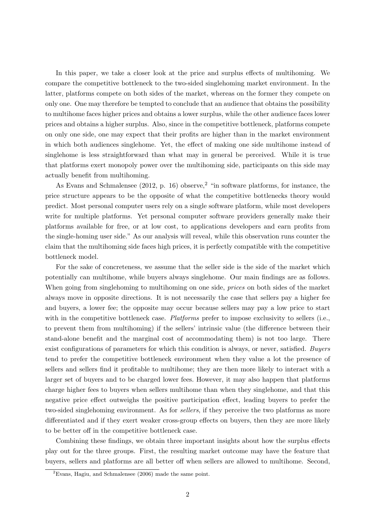In this paper, we take a closer look at the price and surplus effects of multihoming. We compare the competitive bottleneck to the two-sided singlehoming market environment. In the latter, platforms compete on both sides of the market, whereas on the former they compete on only one. One may therefore be tempted to conclude that an audience that obtains the possibility to multihome faces higher prices and obtains a lower surplus, while the other audience faces lower prices and obtains a higher surplus. Also, since in the competitive bottleneck, platforms compete on only one side, one may expect that their profits are higher than in the market environment in which both audiences singlehome. Yet, the effect of making one side multihome instead of singlehome is less straightforward than what may in general be perceived. While it is true that platforms exert monopoly power over the multihoming side, participants on this side may actually benefit from multihoming.

As Evans and Schmalensee (2012, p. 16) observe,<sup>2</sup> "in software platforms, for instance, the price structure appears to be the opposite of what the competitive bottlenecks theory would predict. Most personal computer users rely on a single software platform, while most developers write for multiple platforms. Yet personal computer software providers generally make their platforms available for free, or at low cost, to applications developers and earn profits from the single-homing user side." As our analysis will reveal, while this observation runs counter the claim that the multihoming side faces high prices, it is perfectly compatible with the competitive bottleneck model.

For the sake of concreteness, we assume that the seller side is the side of the market which potentially can multihome, while buyers always singlehome. Our main findings are as follows. When going from singlehoming to multihoming on one side, *prices* on both sides of the market always move in opposite directions. It is not necessarily the case that sellers pay a higher fee and buyers, a lower fee; the opposite may occur because sellers may pay a low price to start with in the competitive bottleneck case. Platforms prefer to impose exclusivity to sellers (i.e., to prevent them from multihoming) if the sellers' intrinsic value (the difference between their stand-alone benefit and the marginal cost of accommodating them) is not too large. There exist configurations of parameters for which this condition is always, or never, satisfied. Buyers tend to prefer the competitive bottleneck environment when they value a lot the presence of sellers and sellers find it profitable to multihome; they are then more likely to interact with a larger set of buyers and to be charged lower fees. However, it may also happen that platforms charge higher fees to buyers when sellers multihome than when they singlehome, and that this negative price effect outweighs the positive participation effect, leading buyers to prefer the two-sided singlehoming environment. As for sellers, if they perceive the two platforms as more differentiated and if they exert weaker cross-group effects on buyers, then they are more likely to be better off in the competitive bottleneck case.

Combining these findings, we obtain three important insights about how the surplus effects play out for the three groups. First, the resulting market outcome may have the feature that buyers, sellers and platforms are all better off when sellers are allowed to multihome. Second,

 $2$ Evans, Hagiu, and Schmalensee (2006) made the same point.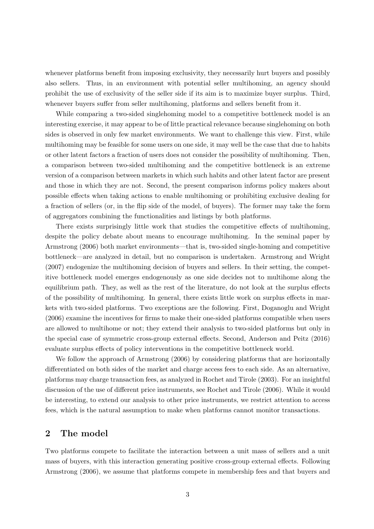whenever platforms benefit from imposing exclusivity, they necessarily hurt buyers and possibly also sellers. Thus, in an environment with potential seller multihoming, an agency should prohibit the use of exclusivity of the seller side if its aim is to maximize buyer surplus. Third, whenever buyers suffer from seller multihoming, platforms and sellers benefit from it.

While comparing a two-sided singlehoming model to a competitive bottleneck model is an interesting exercise, it may appear to be of little practical relevance because singlehoming on both sides is observed in only few market environments. We want to challenge this view. First, while multihoming may be feasible for some users on one side, it may well be the case that due to habits or other latent factors a fraction of users does not consider the possibility of multihoming. Then, a comparison between two-sided multihoming and the competitive bottleneck is an extreme version of a comparison between markets in which such habits and other latent factor are present and those in which they are not. Second, the present comparison informs policy makers about possible effects when taking actions to enable multihoming or prohibiting exclusive dealing for a fraction of sellers (or, in the flip side of the model, of buyers). The former may take the form of aggregators combining the functionalities and listings by both platforms.

There exists surprisingly little work that studies the competitive effects of multihoming, despite the policy debate about means to encourage multihoming. In the seminal paper by Armstrong (2006) both market environments—that is, two-sided single-homing and competitive bottleneck—are analyzed in detail, but no comparison is undertaken. Armstrong and Wright (2007) endogenize the multihoming decision of buyers and sellers. In their setting, the competitive bottleneck model emerges endogenously as one side decides not to multihome along the equilibrium path. They, as well as the rest of the literature, do not look at the surplus effects of the possibility of multihoming. In general, there exists little work on surplus effects in markets with two-sided platforms. Two exceptions are the following. First, Doganoglu and Wright (2006) examine the incentives for firms to make their one-sided platforms compatible when users are allowed to multihome or not; they extend their analysis to two-sided platforms but only in the special case of symmetric cross-group external effects. Second, Anderson and Peitz (2016) evaluate surplus effects of policy interventions in the competitive bottleneck world.

We follow the approach of Armstrong (2006) by considering platforms that are horizontally differentiated on both sides of the market and charge access fees to each side. As an alternative, platforms may charge transaction fees, as analyzed in Rochet and Tirole (2003). For an insightful discussion of the use of different price instruments, see Rochet and Tirole (2006). While it would be interesting, to extend our analysis to other price instruments, we restrict attention to access fees, which is the natural assumption to make when platforms cannot monitor transactions.

# 2 The model

Two platforms compete to facilitate the interaction between a unit mass of sellers and a unit mass of buyers, with this interaction generating positive cross-group external effects. Following Armstrong (2006), we assume that platforms compete in membership fees and that buyers and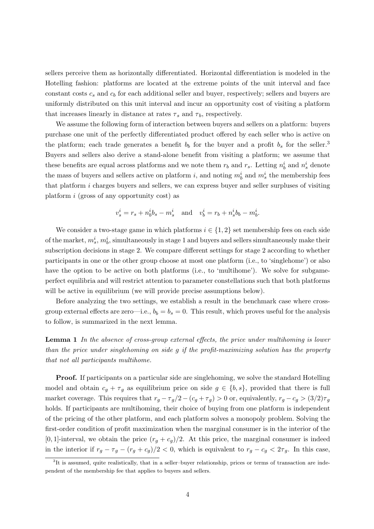sellers perceive them as horizontally differentiated. Horizontal differentiation is modeled in the Hotelling fashion: platforms are located at the extreme points of the unit interval and face constant costs  $c_s$  and  $c_b$  for each additional seller and buyer, respectively; sellers and buyers are uniformly distributed on this unit interval and incur an opportunity cost of visiting a platform that increases linearly in distance at rates  $\tau_s$  and  $\tau_b$ , respectively.

We assume the following form of interaction between buyers and sellers on a platform: buyers purchase one unit of the perfectly differentiated product offered by each seller who is active on the platform; each trade generates a benefit  $b_b$  for the buyer and a profit  $b_s$  for the seller.<sup>3</sup> Buyers and sellers also derive a stand-alone benefit from visiting a platform; we assume that these benefits are equal across platforms and we note them  $r_b$  and  $r_s$ . Letting  $n_b^i$  and  $n_s^i$  denote the mass of buyers and sellers active on platform i, and noting  $m_b^i$  and  $m_s^i$  the membership fees that platform i charges buyers and sellers, we can express buyer and seller surpluses of visiting platform i (gross of any opportunity cost) as

$$
v_s^i = r_s + n_b^i b_s - m_s^i
$$
 and  $v_b^i = r_b + n_s^i b_b - m_b^i$ .

We consider a two-stage game in which platforms  $i \in \{1, 2\}$  set membership fees on each side of the market,  $m_s^i$ ,  $m_b^i$ , simultaneously in stage 1 and buyers and sellers simultaneously make their subscription decisions in stage 2. We compare different settings for stage 2 according to whether participants in one or the other group choose at most one platform (i.e., to 'singlehome') or also have the option to be active on both platforms (i.e., to 'multihome'). We solve for subgameperfect equilibria and will restrict attention to parameter constellations such that both platforms will be active in equilibrium (we will provide precise assumptions below).

Before analyzing the two settings, we establish a result in the benchmark case where crossgroup external effects are zero—i.e.,  $b_b = b_s = 0$ . This result, which proves useful for the analysis to follow, is summarized in the next lemma.

**Lemma 1** In the absence of cross-group external effects, the price under multihoming is lower than the price under singlehoming on side g if the profit-maximizing solution has the property that not all participants multihome.

**Proof.** If participants on a particular side are singlehoming, we solve the standard Hotelling model and obtain  $c_q + \tau_q$  as equilibrium price on side  $g \in \{b, s\}$ , provided that there is full market coverage. This requires that  $r_g - \tau_g/2 - (c_g + \tau_g) > 0$  or, equivalently,  $r_g - c_g > (3/2)\tau_g$ holds. If participants are multihoming, their choice of buying from one platform is independent of the pricing of the other platform, and each platform solves a monopoly problem. Solving the first-order condition of profit maximization when the marginal consumer is in the interior of the [0, 1]-interval, we obtain the price  $(r_g + c_g)/2$ . At this price, the marginal consumer is indeed in the interior if  $r_g - \tau_g - (r_g + c_g)/2 < 0$ , which is equivalent to  $r_g - c_g < 2\tau_g$ . In this case,

<sup>&</sup>lt;sup>3</sup>It is assumed, quite realistically, that in a seller-buyer relationship, prices or terms of transaction are independent of the membership fee that applies to buyers and sellers.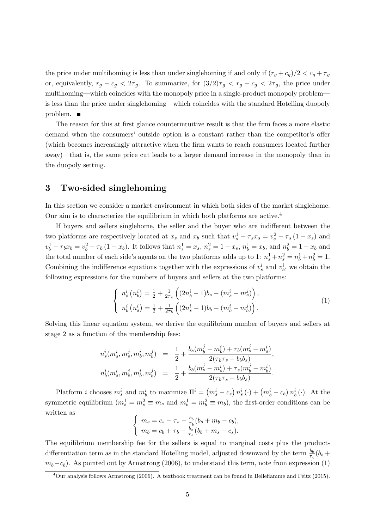the price under multihoming is less than under singlehoming if and only if  $(r_g + c_g)/2 < c_g + \tau_g$ or, equivalently,  $r_g - c_g < 2\tau_g$ . To summarize, for  $(3/2)\tau_g < r_g - c_g < 2\tau_g$ , the price under multihoming—which coincides with the monopoly price in a single-product monopoly problem is less than the price under singlehoming—which coincides with the standard Hotelling duopoly problem.

The reason for this at first glance counterintuitive result is that the firm faces a more elastic demand when the consumers' outside option is a constant rather than the competitor's offer (which becomes increasingly attractive when the firm wants to reach consumers located further away)—that is, the same price cut leads to a larger demand increase in the monopoly than in the duopoly setting.

# 3 Two-sided singlehoming

In this section we consider a market environment in which both sides of the market singlehome. Our aim is to characterize the equilibrium in which both platforms are active.<sup>4</sup>

If buyers and sellers singlehome, the seller and the buyer who are indifferent between the two platforms are respectively located at  $x_s$  and  $x_b$  such that  $v_s^1 - \tau_s x_s = v_s^2 - \tau_s (1 - x_s)$  and  $v_b^1 - \tau_b x_b = v_b^2 - \tau_b (1 - x_b)$ . It follows that  $n_s^1 = x_s$ ,  $n_s^2 = 1 - x_s$ ,  $n_b^1 = x_b$ , and  $n_b^2 = 1 - x_b$  and the total number of each side's agents on the two platforms adds up to 1:  $n_s^1 + n_s^2 = n_b^1 + n_b^2 = 1$ . Combining the indifference equations together with the expressions of  $v_s^i$  and  $v_b^i$ , we obtain the following expressions for the numbers of buyers and sellers at the two platforms:

$$
\begin{cases}\n n_s^i \left( n_b^i \right) = \frac{1}{2} + \frac{1}{2\tau_s} \left( (2n_b^i - 1)b_s - (m_s^i - m_s^j) \right), \\
 n_b^i \left( n_s^i \right) = \frac{1}{2} + \frac{1}{2\tau_b} \left( (2n_s^i - 1)b_b - (m_b^i - m_b^j) \right).\n\end{cases} \tag{1}
$$

Solving this linear equation system, we derive the equilibrium number of buyers and sellers at stage 2 as a function of the membership fees:

$$
\begin{array}{rcl} n^i_s(m^i_s,m^j_s,m^i_b,m^j_b) &=& \frac{1}{2} + \frac{b_s(m^j_b-m^i_b)+\tau_b(m^j_s-m^i_s)}{2(\tau_b\tau_s-b_b b_s)},\\ n^i_b(m^i_s,m^j_s,m^i_b,m^j_b) &=& \frac{1}{2} + \frac{b_b(m^j_s-m^i_s)+\tau_s(m^j_b-m^i_b)}{2(\tau_b\tau_s-b_b b_s)}. \end{array}
$$

Platform *i* chooses  $m_s^i$  and  $m_b^i$  to maximize  $\Pi^i = (m_s^i - c_s) n_s^i (\cdot) + (m_b^i - c_b) n_b^i (\cdot)$ . At the symmetric equilibrium  $(m_s^1 = m_s^2 \equiv m_s \text{ and } m_b^1 = m_b^2 \equiv m_b)$ , the first-order conditions can be written as

$$
\begin{cases}\nm_s = c_s + \tau_s - \frac{b_b}{\tau_b} (b_s + m_b - c_b), \\
m_b = c_b + \tau_b - \frac{b_s}{\tau_s} (b_b + m_s - c_s).\n\end{cases}
$$

The equilibrium membership fee for the sellers is equal to marginal costs plus the productdifferentiation term as in the standard Hotelling model, adjusted downward by the term  $\frac{b_b}{\tau_b}(b_s +$  $m_b-c_b$ ). As pointed out by Armstrong (2006), to understand this term, note from expression (1)

<sup>4</sup>Our analysis follows Armstrong (2006). A textbook treatment can be found in Belleflamme and Peitz (2015).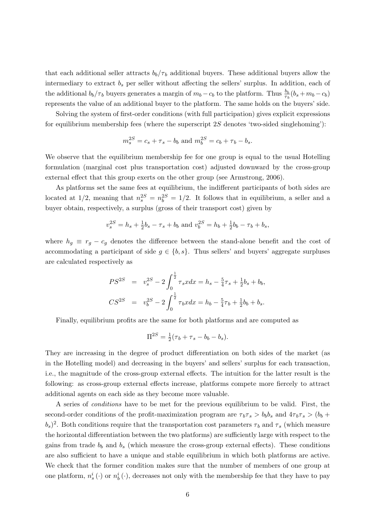that each additional seller attracts  $b_b/\tau_b$  additional buyers. These additional buyers allow the intermediary to extract  $b_s$  per seller without affecting the sellers' surplus. In addition, each of the additional  $b_b/\tau_b$  buyers generates a margin of  $m_b - c_b$  to the platform. Thus  $\frac{b_b}{\tau_b}(b_s + m_b - c_b)$ represents the value of an additional buyer to the platform. The same holds on the buyers' side.

Solving the system of first-order conditions (with full participation) gives explicit expressions for equilibrium membership fees (where the superscript  $2S$  denotes 'two-sided singlehoming'):

$$
m_s^{2S} = c_s + \tau_s - b_b
$$
 and  $m_b^{2S} = c_b + \tau_b - b_s$ .

We observe that the equilibrium membership fee for one group is equal to the usual Hotelling formulation (marginal cost plus transportation cost) adjusted downward by the cross-group external effect that this group exerts on the other group (see Armstrong, 2006).

As platforms set the same fees at equilibrium, the indifferent participants of both sides are located at 1/2, meaning that  $n_s^{2S} = n_b^{2S} = 1/2$ . It follows that in equilibrium, a seller and a buyer obtain, respectively, a surplus (gross of their transport cost) given by

$$
v_s^{2S} = h_s + \frac{1}{2}b_s - \tau_s + b_b
$$
 and  $v_b^{2S} = h_b + \frac{1}{2}b_b - \tau_b + b_s$ ,

where  $h_g \equiv r_g - c_g$  denotes the difference between the stand-alone benefit and the cost of accommodating a participant of side  $g \in \{b, s\}$ . Thus sellers' and buyers' aggregate surpluses are calculated respectively as

$$
PS^{2S} = v_s^{2S} - 2 \int_0^{\frac{1}{2}} \tau_s x dx = h_s - \frac{5}{4} \tau_s + \frac{1}{2} b_s + b_b,
$$
  

$$
CS^{2S} = v_b^{2S} - 2 \int_0^{\frac{1}{2}} \tau_b x dx = h_b - \frac{5}{4} \tau_b + \frac{1}{2} b_b + b_s.
$$

Finally, equilibrium profits are the same for both platforms and are computed as

$$
\Pi^{2S} = \frac{1}{2}(\tau_b + \tau_s - b_b - b_s).
$$

They are increasing in the degree of product differentiation on both sides of the market (as in the Hotelling model) and decreasing in the buyers' and sellers' surplus for each transaction, i.e., the magnitude of the cross-group external effects. The intuition for the latter result is the following: as cross-group external effects increase, platforms compete more fiercely to attract additional agents on each side as they become more valuable.

A series of conditions have to be met for the previous equilibrium to be valid. First, the second-order conditions of the profit-maximization program are  $\tau_b \tau_s > b_b b_s$  and  $4 \tau_b \tau_s > (b_b +$  $(b_s)^2$ . Both conditions require that the transportation cost parameters  $\tau_b$  and  $\tau_s$  (which measure the horizontal differentiation between the two platforms) are sufficiently large with respect to the gains from trade  $b_b$  and  $b_s$  (which measure the cross-group external effects). These conditions are also sufficient to have a unique and stable equilibrium in which both platforms are active. We check that the former condition makes sure that the number of members of one group at one platform,  $n_s^i(\cdot)$  or  $n_b^i(\cdot)$ , decreases not only with the membership fee that they have to pay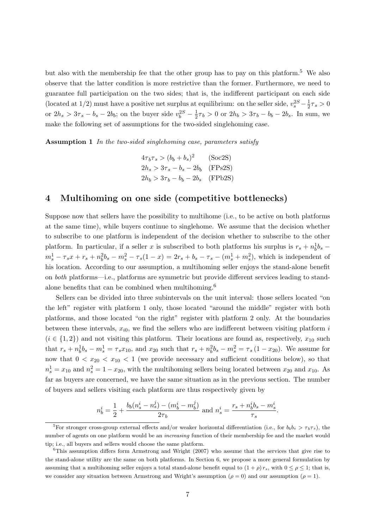but also with the membership fee that the other group has to pay on this platform.<sup>5</sup> We also observe that the latter condition is more restrictive than the former. Furthermore, we need to guarantee full participation on the two sides; that is, the indifferent participant on each side (located at 1/2) must have a positive net surplus at equilibrium: on the seller side,  $v_s^{2S} - \frac{1}{2}$  $\frac{1}{2}\tau_s > 0$ or  $2h_s > 3\tau_s - b_s - 2b_b$ ; on the buyer side  $v_b^{2S} - \frac{1}{2}$  $\frac{1}{2}\tau_b > 0$  or  $2h_b > 3\tau_b - b_b - 2b_s$ . In sum, we make the following set of assumptions for the two-sided singlehoming case.

Assumption 1 In the two-sided singlehoming case, parameters satisfy

$$
4\tau_b \tau_s > (b_b + b_s)^2
$$
 (Soc2S)  
\n
$$
2h_s > 3\tau_s - b_s - 2b_b
$$
 (FFs2S)  
\n
$$
2h_b > 3\tau_b - b_b - 2b_s
$$
 (FPb2S)

# 4 Multihoming on one side (competitive bottlenecks)

Suppose now that sellers have the possibility to multihome (i.e., to be active on both platforms at the same time), while buyers continue to singlehome. We assume that the decision whether to subscribe to one platform is independent of the decision whether to subscribe to the other platform. In particular, if a seller x is subscribed to both platforms his surplus is  $r_s + n_b^1 b_s$  $m_s^1 - \tau_s x + r_s + n_b^2 b_s - m_s^2 - \tau_s (1 - x) = 2r_s + b_s - \tau_s - (m_s^1 + m_s^2)$ , which is independent of his location. According to our assumption, a multihoming seller enjoys the stand-alone benefit on both platforms—i.e., platforms are symmetric but provide different services leading to standalone benefits that can be combined when multihoming.<sup>6</sup>

Sellers can be divided into three subintervals on the unit interval: those sellers located "on the left" register with platform 1 only, those located "around the middle" register with both platforms, and those located "on the right" register with platform 2 only. At the boundaries between these intervals,  $x_{i0}$ , we find the sellers who are indifferent between visiting platform i  $(i \in \{1,2\})$  and not visiting this platform. Their locations are found as, respectively,  $x_{10}$  such that  $r_s + n_b^1 b_s - m_s^1 = \tau_s x_{10}$ , and  $x_{20}$  such that  $r_s + n_b^2 b_s - m_s^2 = \tau_s (1 - x_{20})$ . We assume for now that  $0 < x_{20} < x_{10} < 1$  (we provide necessary and sufficient conditions below), so that  $n_s^1 = x_{10}$  and  $n_s^2 = 1 - x_{20}$ , with the multihoming sellers being located between  $x_{20}$  and  $x_{10}$ . As far as buyers are concerned, we have the same situation as in the previous section. The number of buyers and sellers visiting each platform are thus respectively given by

$$
n_b^i = \frac{1}{2} + \frac{b_b(n_s^i - n_s^j) - (m_b^i - m_b^j)}{2\tau_b}
$$
 and 
$$
n_s^i = \frac{r_s + n_b^i b_s - m_s^i}{\tau_s}.
$$

<sup>&</sup>lt;sup>5</sup>For stronger cross-group external effects and/or weaker horizontal differentiation (i.e., for  $b_b b_s > \tau_b \tau_s$ ), the number of agents on one platform would be an increasing function of their membership fee and the market would tip; i.e., all buyers and sellers would choose the same platform.

<sup>&</sup>lt;sup>6</sup>This assumption differs form Armstrong and Wright  $(2007)$  who assume that the services that give rise to the stand-alone utility are the same on both platforms. In Section 6, we propose a more general formulation by assuming that a multihoming seller enjoys a total stand-alone benefit equal to  $(1 + \rho) r_s$ , with  $0 \le \rho \le 1$ ; that is, we consider any situation between Armstrong and Wright's assumption ( $\rho = 0$ ) and our assumption ( $\rho = 1$ ).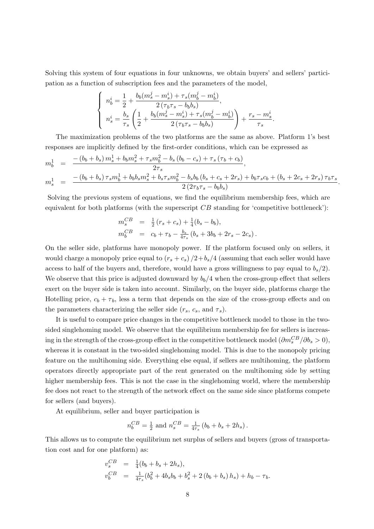Solving this system of four equations in four unknowns, we obtain buyers' and sellers' participation as a function of subscription fees and the parameters of the model,

$$
\left\{ \begin{array}{l} n_b^i = \frac{1}{2} + \frac{b_b(m_s^j - m_s^i) + \tau_s(m_b^j - m_b^i)}{2\left(\tau_b \tau_s - b_b b_s\right)}, \\ n_s^i = \frac{b_s}{\tau_s} \left( \frac{1}{2} + \frac{b_b(m_s^j - m_s^i) + \tau_s(m_b^j - m_b^i)}{2\left(\tau_b \tau_s - b_b b_s\right)} \right) + \frac{r_s - m_s^i}{\tau_s} \end{array} \right.
$$

.

The maximization problems of the two platforms are the same as above. Platform 1's best responses are implicitly defined by the first-order conditions, which can be expressed as

$$
m_b^1 = \frac{-(b_b + b_s) m_s^1 + b_b m_s^2 + \tau_s m_b^2 - b_s (b_b - c_s) + \tau_s (\tau_b + c_b)}{2\tau_s},
$$
  
\n
$$
m_s^1 = \frac{-(b_b + b_s) \tau_s m_b^1 + b_b b_s m_s^2 + b_s \tau_s m_b^2 - b_s b_b (b_s + c_s + 2r_s) + b_b \tau_s c_b + (b_s + 2c_s + 2r_s) \tau_b \tau_s}{2 (2\tau_b \tau_s - b_b b_s)}.
$$

Solving the previous system of equations, we find the equilibrium membership fees, which are equivalent for both platforms (with the superscript  $CB$  standing for 'competitive bottleneck'):

$$
\begin{array}{rcl}\nm_s^{CB} & = & \frac{1}{2} \left( r_s + c_s \right) + \frac{1}{4} (b_s - b_b), \\
m_b^{CB} & = & c_b + \tau_b - \frac{b_s}{4\tau_s} \left( b_s + 3b_b + 2r_s - 2c_s \right).\n\end{array}
$$

On the seller side, platforms have monopoly power. If the platform focused only on sellers, it would charge a monopoly price equal to  $(r_s + c_s)/2 + b_s/4$  (assuming that each seller would have access to half of the buyers and, therefore, would have a gross willingness to pay equal to  $b_s/2$ ). We observe that this price is adjusted downward by  $b_b/4$  when the cross-group effect that sellers exert on the buyer side is taken into account. Similarly, on the buyer side, platforms charge the Hotelling price,  $c_b + \tau_b$ , less a term that depends on the size of the cross-group effects and on the parameters characterizing the seller side  $(r_s, c_s, \text{ and } \tau_s)$ .

It is useful to compare price changes in the competitive bottleneck model to those in the twosided singlehoming model. We observe that the equilibrium membership fee for sellers is increasing in the strength of the cross-group effect in the competitive bottleneck model  $(\partial m_s^{CB}/\partial b_s > 0)$ , whereas it is constant in the two-sided singlehoming model. This is due to the monopoly pricing feature on the multihoming side. Everything else equal, if sellers are multihoming, the platform operators directly appropriate part of the rent generated on the multihoming side by setting higher membership fees. This is not the case in the singlehoming world, where the membership fee does not react to the strength of the network effect on the same side since platforms compete for sellers (and buyers).

At equilibrium, seller and buyer participation is

$$
n_b^{CB} = \frac{1}{2}
$$
 and  $n_s^{CB} = \frac{1}{4\tau_s} (b_b + b_s + 2h_s)$ .

This allows us to compute the equilibrium net surplus of sellers and buyers (gross of transportation cost and for one platform) as:

$$
v_s^{CB} = \frac{1}{4}(b_b + b_s + 2h_s),
$$
  
\n
$$
v_b^{CB} = \frac{1}{4\tau_s}(b_b^2 + 4b_s b_b + b_s^2 + 2(b_b + b_s) h_s) + h_b - \tau_b.
$$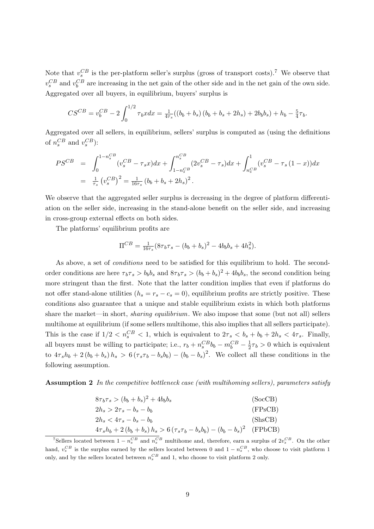Note that  $v_s^{CB}$  is the per-platform seller's surplus (gross of transport costs).<sup>7</sup> We observe that  $v_s^{CB}$  and  $v_b^{CB}$  are increasing in the net gain of the other side and in the net gain of the own side. Aggregated over all buyers, in equilibrium, buyers' surplus is

$$
CS^{CB} = v_b^{CB} - 2 \int_0^{1/2} \tau_b x dx = \frac{1}{4\tau_s} ((b_b + b_s) (b_b + b_s + 2h_s) + 2b_b b_s) + h_b - \frac{5}{4} \tau_b.
$$

Aggregated over all sellers, in equilibrium, sellers' surplus is computed as (using the definitions of  $n_s^{CB}$  and  $v_s^{CB}$ ):

$$
PS^{CB} = \int_0^{1-n_s^{CB}} (v_s^{CB} - \tau_s x) dx + \int_{1-n_s^{CB}}^{n_s^{CB}} (2v_s^{CB} - \tau_s) dx + \int_{n_s^{CB}}^1 (v_s^{CB} - \tau_s (1-x)) dx
$$
  
=  $\frac{1}{\tau_s} (v_s^{CB})^2 = \frac{1}{16\tau_s} (b_b + b_s + 2h_s)^2$ .

We observe that the aggregated seller surplus is decreasing in the degree of platform differentiation on the seller side, increasing in the stand-alone benefit on the seller side, and increasing in cross-group external effects on both sides.

The platforms' equilibrium profits are

$$
\Pi^{CB} = \frac{1}{16\tau_s} (8\tau_b \tau_s - (b_b + b_s)^2 - 4b_b b_s + 4h_s^2).
$$

As above, a set of conditions need to be satisfied for this equilibrium to hold. The secondorder conditions are here  $\tau_b \tau_s > b_b b_s$  and  $8\tau_b \tau_s > (b_b + b_s)^2 + 4b_b b_s$ , the second condition being more stringent than the first. Note that the latter condition implies that even if platforms do not offer stand-alone utilities  $(h_s = r_s - c_s = 0)$ , equilibrium profits are strictly positive. These conditions also guarantee that a unique and stable equilibrium exists in which both platforms share the market—in short, *sharing equilibrium*. We also impose that some (but not all) sellers multihome at equilibrium (if some sellers multihome, this also implies that all sellers participate). This is the case if  $1/2 < n_s^{CB} < 1$ , which is equivalent to  $2\tau_s < b_s + b_b + 2h_s < 4\tau_s$ . Finally, all buyers must be willing to participate; i.e.,  $r_b + n_s^{CB}b_b - m_b^{CB} - \frac{1}{2}$  $\frac{1}{2}\tau_b > 0$  which is equivalent to  $4\tau_s h_b + 2(b_b + b_s) h_s > 6(\tau_s \tau_b - b_s b_b) - (b_b - b_s)^2$ . We collect all these conditions in the following assumption.

Assumption 2 In the competitive bottleneck case (with multihoming sellers), parameters satisfy

| $8\tau_b\tau_s > (b_b + b_s)^2 + 4b_b b_s$                                            | (SocCB) |
|---------------------------------------------------------------------------------------|---------|
| $2h_s > 2\tau_s - b_s - b_b$                                                          | (FPsCB) |
| $2h_s < 4\tau_s - b_s - b_b$                                                          | (ShsCB) |
| $4\tau_s h_b + 2(b_b + b_s) h_s > 6(\tau_s \tau_b - b_s b_b) - (b_b - b_s)^2$ (FPbCB) |         |
|                                                                                       |         |

<sup>&</sup>lt;sup>7</sup>Sellers located between  $1-n_s^{CB}$  and  $n_s^{CB}$  multihome and, therefore, earn a surplus of  $2v_s^{CB}$ . On the other hand,  $v_s^{CB}$  is the surplus earned by the sellers located between 0 and  $1 - n_s^{CB}$ , who choose to visit platform 1 only, and by the sellers located between  $n_s^{CB}$  and 1, who choose to visit platform 2 only.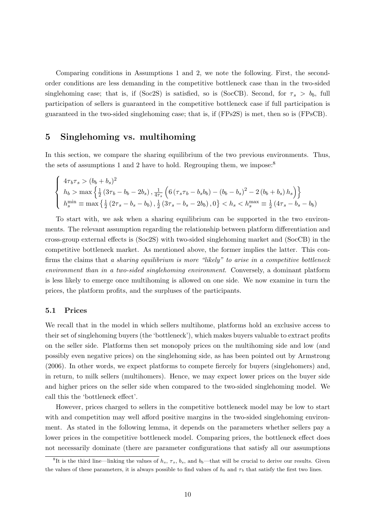Comparing conditions in Assumptions 1 and 2, we note the following. First, the secondorder conditions are less demanding in the competitive bottleneck case than in the two-sided singlehoming case; that is, if (Soc2S) is satisfied, so is (SocCB). Second, for  $\tau_s > b_b$ , full participation of sellers is guaranteed in the competitive bottleneck case if full participation is guaranteed in the two-sided singlehoming case; that is, if (FPs2S) is met, then so is (FPsCB).

# 5 Singlehoming vs. multihoming

In this section, we compare the sharing equilibrium of the two previous environments. Thus, the sets of assumptions 1 and 2 have to hold. Regrouping them, we impose:<sup>8</sup>

$$
\begin{cases}\n4\tau_b \tau_s > (b_b + b_s)^2 \\
h_b > \max\left\{\frac{1}{2} (3\tau_b - b_b - 2b_s), \frac{1}{4\tau_s} \left(6(\tau_s \tau_b - b_s b_b) - (b_b - b_s)^2 - 2(b_b + b_s) h_s\right)\right\} \\
h_s^{\min} \equiv \max\left\{\frac{1}{2} (2\tau_s - b_s - b_b), \frac{1}{2} (3\tau_s - b_s - 2b_b), 0\right\} < h_s < h_s^{\max} \equiv \frac{1}{2} (4\tau_s - b_s - b_b)\n\end{cases}
$$

To start with, we ask when a sharing equilibrium can be supported in the two environments. The relevant assumption regarding the relationship between platform differentiation and cross-group external effects is (Soc2S) with two-sided singlehoming market and (SocCB) in the competitive bottleneck market. As mentioned above, the former implies the latter. This confirms the claims that a sharing equilibrium is more "likely" to arise in a competitive bottleneck environment than in a two-sided singlehoming environment. Conversely, a dominant platform is less likely to emerge once multihoming is allowed on one side. We now examine in turn the prices, the platform profits, and the surpluses of the participants.

#### 5.1 Prices

We recall that in the model in which sellers multihome, platforms hold an exclusive access to their set of singlehoming buyers (the 'bottleneck'), which makes buyers valuable to extract profits on the seller side. Platforms then set monopoly prices on the multihoming side and low (and possibly even negative prices) on the singlehoming side, as has been pointed out by Armstrong (2006). In other words, we expect platforms to compete fiercely for buyers (singlehomers) and, in return, to milk sellers (multihomers). Hence, we may expect lower prices on the buyer side and higher prices on the seller side when compared to the two-sided singlehoming model. We call this the 'bottleneck effect'.

However, prices charged to sellers in the competitive bottleneck model may be low to start with and competition may well afford positive margins in the two-sided singlehoming environment. As stated in the following lemma, it depends on the parameters whether sellers pay a lower prices in the competitive bottleneck model. Comparing prices, the bottleneck effect does not necessarily dominate (there are parameter configurations that satisfy all our assumptions

<sup>&</sup>lt;sup>8</sup>It is the third line—linking the values of  $h_s$ ,  $\tau_s$ ,  $b_s$ , and  $b_b$ —that will be crucial to derive our results. Given the values of these parameters, it is always possible to find values of  $h_b$  and  $\tau_b$  that satisfy the first two lines.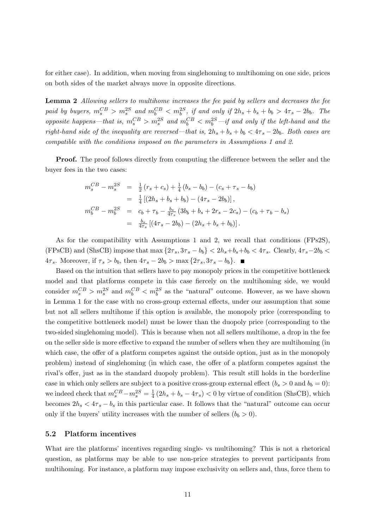for either case). In addition, when moving from singlehoming to multihoming on one side, prices on both sides of the market always move in opposite directions.

Lemma 2 Allowing sellers to multihome increases the fee paid by sellers and decreases the fee paid by buyers,  $m_s^{CB} > m_s^{2S}$  and  $m_b^{CB} < m_b^{2S}$ , if and only if  $2h_s + b_s + b_b > 4\tau_s - 2b_b$ . The opposite happens—that is,  $m_s^{CB} > m_s^{2S}$  and  $m_b^{CB} < m_b^{2S}$ —if and only if the left-hand and the right-hand side of the inequality are reversed—that is,  $2h_s + b_s + b_b < 4\tau_s - 2b_b$ . Both cases are compatible with the conditions imposed on the parameters in Assumptions 1 and 2.

Proof. The proof follows directly from computing the difference between the seller and the buyer fees in the two cases:

$$
m_s^{CB} - m_s^{2S} = \frac{1}{2} (r_s + c_s) + \frac{1}{4} (b_s - b_b) - (c_s + \tau_s - b_b)
$$
  
\n
$$
= \frac{1}{4} [(2h_s + b_s + b_b) - (4\tau_s - 2b_b)],
$$
  
\n
$$
m_b^{CB} - m_b^{2S} = c_b + \tau_b - \frac{b_s}{4\tau_s} (3b_b + b_s + 2r_s - 2c_s) - (c_b + \tau_b - b_s)
$$
  
\n
$$
= \frac{b_s}{4\tau_s} [(4\tau_s - 2b_b) - (2h_s + b_s + b_b)].
$$

As for the compatibility with Assumptions 1 and 2, we recall that conditions (FPs2S), (FPsCB) and (ShsCB) impose that  $\max\{2\tau_s, 3\tau_s - b_b\} < 2h_s + b_s + b_b < 4\tau_s$ . Clearly,  $4\tau_s - 2b_b <$  $4\tau_s$ . Moreover, if  $\tau_s > b_b$ , then  $4\tau_s - 2b_b > \max\{2\tau_s, 3\tau_s - b_b\}$ .

Based on the intuition that sellers have to pay monopoly prices in the competitive bottleneck model and that platforms compete in this case fiercely on the multihoming side, we would consider  $m_s^{CB} > m_s^{2S}$  and  $m_b^{CB} < m_b^{2S}$  as the "natural" outcome. However, as we have shown in Lemma 1 for the case with no cross-group external effects, under our assumption that some but not all sellers multihome if this option is available, the monopoly price (corresponding to the competitive bottleneck model) must be lower than the duopoly price (corresponding to the two-sided singlehoming model). This is because when not all sellers multihome, a drop in the fee on the seller side is more effective to expand the number of sellers when they are multihoming (in which case, the offer of a platform competes against the outside option, just as in the monopoly problem) instead of singlehoming (in which case, the offer of a platform competes against the rival's offer, just as in the standard duopoly problem). This result still holds in the borderline case in which only sellers are subject to a positive cross-group external effect  $(b_s > 0 \text{ and } b_b = 0)$ : we indeed check that  $m_s^{CB} - m_s^{2S} = \frac{1}{4}$  $\frac{1}{4}(2h_s + b_s - 4\tau_s) < 0$  by virtue of condition (ShsCB), which becomes  $2h_s < 4\tau_s - b_s$  in this particular case. It follows that the "natural" outcome can occur only if the buyers' utility increases with the number of sellers  $(b<sub>b</sub> > 0)$ .

#### 5.2 Platform incentives

What are the platforms' incentives regarding single- vs multihoming? This is not a rhetorical question, as platforms may be able to use non-price strategies to prevent participants from multihoming. For instance, a platform may impose exclusivity on sellers and, thus, force them to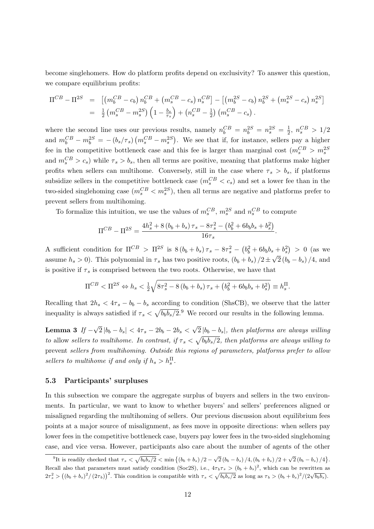become singlehomers. How do platform profits depend on exclusivity? To answer this question, we compare equilibrium profits:

$$
\Pi^{CB} - \Pi^{2S} = [ (m_b^{CB} - c_b) n_b^{CB} + (m_s^{CB} - c_s) n_s^{CB} ] - [ (m_b^{2S} - c_b) n_b^{2S} + (m_s^{2S} - c_s) n_s^{2S} ]
$$
  
=  $\frac{1}{2} (m_s^{CB} - m_s^{2S}) (1 - \frac{b_s}{\tau_s}) + (n_s^{CB} - \frac{1}{2}) (m_s^{CB} - c_s).$ 

where the second line uses our previous results, namely  $n_b^{CB} = n_b^{2S} = n_s^{2S} = \frac{1}{2}$  $\frac{1}{2}$ ,  $n_s^{CB} > 1/2$ and  $m_b^{CB} - m_b^{2S} = -(b_s/\tau_s) (m_s^{CB} - m_s^{2S})$ . We see that if, for instance, sellers pay a higher fee in the competitive bottleneck case and this fee is larger than marginal cost  $(m_s^{CB} > m_s^{2S})$ and  $m_s^{CB} > c_s$ ) while  $\tau_s > b_s$ , then all terms are positive, meaning that platforms make higher profits when sellers can multihome. Conversely, still in the case where  $\tau_s > b_s$ , if platforms subsidize sellers in the competitive bottleneck case  $(m_s^{CB} < c_s)$  and set a lower fee than in the two-sided singlehoming case  $(m_s^{CB} < m_s^{2S})$ , then all terms are negative and platforms prefer to prevent sellers from multihoming.

To formalize this intuition, we use the values of  $m_s^{CB}$ ,  $m_s^{2S}$  and  $n_s^{CB}$  to compute

$$
\Pi^{CB} - \Pi^{2S} = \frac{4h_s^2 + 8(b_b + b_s)\tau_s - 8\tau_s^2 - (b_b^2 + 6b_b b_s + b_s^2)}{16\tau_s}
$$

.

A sufficient condition for  $\Pi^{CB} > \Pi^{2S}$  is  $8(b_b + b_s)\tau_s - 8\tau_s^2 - (b_b^2 + 6b_b b_s + b_s^2) > 0$  (as we assume  $h_s > 0$ ). This polynomial in  $\tau_s$  has two positive roots,  $(b_b + b_s)/2 \pm \sqrt{2(b_b - b_s)/4}$ , and is positive if  $\tau_s$  is comprised between the two roots. Otherwise, we have that

$$
\Pi^{CB} < \Pi^{2S} \Leftrightarrow h_s < \frac{1}{2} \sqrt{8\tau_s^2 - 8\left(b_b + b_s\right)\tau_s + \left(b_b^2 + 6b_b b_s + b_s^2\right)} \equiv h_s^{\Pi}.
$$

Recalling that  $2h_s < 4\tau_s - b_b - b_s$  according to condition (ShsCB), we observe that the latter inequality is always satisfied if  $\tau_s < \sqrt{b_b b_s/2}$ .<sup>9</sup> We record our results in the following lemma.

Lemma 3  $If -$ √  $2 |b_b - b_s| < 4\tau_s - 2b_b - 2b_s < 1$ √  $2 |b_b - b_s|$ , then platforms are always willing to allow sellers to multihome. In contrast, if  $\tau_s < \sqrt{b_b b_s/2}$ , then platforms are always willing to prevent sellers from multihoming. Outside this regions of parameters, platforms prefer to allow sellers to multihome if and only if  $h_s > h_s^{\Pi}$ .

#### 5.3 Participants' surpluses

In this subsection we compare the aggregate surplus of buyers and sellers in the two environments. In particular, we want to know to whether buyers' and sellers' preferences aligned or misaligned regarding the multihoming of sellers. Our previous discussion about equilibrium fees points at a major source of misalignment, as fees move in opposite directions: when sellers pay lower fees in the competitive bottleneck case, buyers pay lower fees in the two-sided singlehoming case, and vice versa. However, participants also care about the number of agents of the other

<sup>&</sup>lt;sup>9</sup>It is readily checked that  $\tau_s < \sqrt{b_b b_s/2} < \min\{(b_b + b_s)/2 - \sqrt{2}(b_b - b_s)/4, (b_b + b_s)/2 + \sqrt{2}(b_b - b_s)/4\}.$ Recall also that parameters must satisfy condition (Soc2S), i.e.,  $4\tau_b\tau_s > (b_b + b_s)^2$ , which can be rewritten as  $2\tau_s^2 > ((b_b + b_s)^2/(2\tau_b))^2$ . This condition is compatible with  $\tau_s < \sqrt{b_b b_s/2}$  as long as  $\tau_b > (b_b + b_s)^2/(2\sqrt{b_b b_s})$ .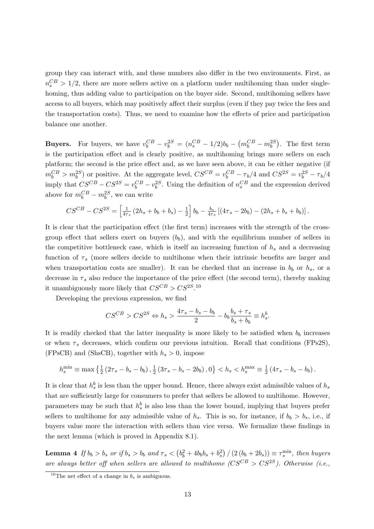group they can interact with, and these numbers also differ in the two environments. First, as  $n_s^{CB} > 1/2$ , there are more sellers active on a platform under multihoming than under singlehoming, thus adding value to participation on the buyer side. Second, multihoming sellers have access to all buyers, which may positively affect their surplus (even if they pay twice the fees and the transportation costs). Thus, we need to examine how the effects of price and participation balance one another.

**Buyers.** For buyers, we have  $v_b^{CB} - v_b^{2S} = (n_s^{CB} - 1/2)b_b - (m_b^{CB} - m_b^{2S})$ . The first term is the participation effect and is clearly positive, as multihoming brings more sellers on each platform; the second is the price effect and, as we have seen above, it can be either negative (if  $m_b^{CB} > m_b^{2S}$ ) or positive. At the aggregate level,  $CS^{CB} = v_b^{CB} - \tau_b/4$  and  $CS^{2S} = v_b^{2S} - \tau_b/4$ imply that  $CS^{CB} - CS^{2S} = v_b^{CB} - v_b^{2S}$ . Using the definition of  $n_s^{CB}$  and the expression derived above for  $m_b^{CB} - m_b^{2S}$ , we can write

$$
CS^{CB} - CS^{2S} = \left[\frac{1}{4\tau_s} \left(2h_s + b_b + b_s\right) - \frac{1}{2}\right] b_b - \frac{b_s}{4\tau_s} \left[\left(4\tau_s - 2b_b\right) - \left(2h_s + b_s + b_b\right)\right].
$$

It is clear that the participation effect (the first term) increases with the strength of the crossgroup effect that sellers exert on buyers  $(b<sub>b</sub>)$ , and with the equilibrium number of sellers in the competitive bottleneck case, which is itself an increasing function of  $h_s$  and a decreasing function of  $\tau_s$  (more sellers decide to multihome when their intrinsic benefits are larger and when transportation costs are smaller). It can be checked that an increase in  $b_b$  or  $h_s$ , or a decrease in  $\tau_s$  also reduce the importance of the price effect (the second term), thereby making it unambiguously more likely that  $CS^{CB} > CS^{2S}$ .<sup>10</sup>

Developing the previous expression, we find

$$
CS^{CB}>CS^{2S}\Leftrightarrow h_s>\frac{4\tau_s-b_s-b_b}{2}-b_b\frac{b_s+\tau_s}{b_s+b_b}\equiv h_s^b.
$$

It is readily checked that the latter inequality is more likely to be satisfied when  $b_b$  increases or when  $\tau_s$  decreases, which confirm our previous intuition. Recall that conditions (FPs2S), (FPsCB) and (ShsCB), together with  $h_s > 0$ , impose

$$
h_s^{\min} \equiv \max \left\{ \frac{1}{2} \left( 2\tau_s - b_s - b_b \right), \frac{1}{2} \left( 3\tau_s - b_s - 2b_b \right), 0 \right\} < h_s < h_s^{\max} \equiv \frac{1}{2} \left( 4\tau_s - b_s - b_b \right).
$$

It is clear that  $h_s^b$  is less than the upper bound. Hence, there always exist admissible values of  $h_s$ that are sufficiently large for consumers to prefer that sellers be allowed to multihome. However, parameters may be such that  $h_s^b$  is also less than the lower bound, implying that buyers prefer sellers to multihome for any admissible value of  $h_s$ . This is so, for instance, if  $b_b > b_s$ , i.e., if buyers value more the interaction with sellers than vice versa. We formalize these findings in the next lemma (which is proved in Appendix 8.1).

**Lemma 4** If  $b_b > b_s$  or if  $b_s > b_b$  and  $\tau_s < (b_b^2 + 4b_bb_s + b_s^2) / (2(b_b + 2b_s)) \equiv \tau_s^{\min}$ , then buyers are always better off when sellers are allowed to multihome  $(CS^{CB} > CS^{2S})$ . Otherwise (i.e.,

<sup>&</sup>lt;sup>10</sup>The net effect of a change in  $b_s$  is ambiguous.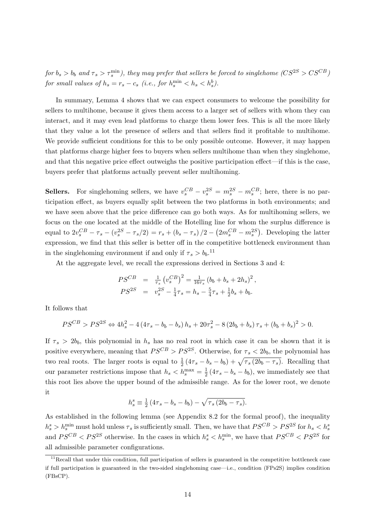${\it for}\ b_s>b_b\ {\it and}\ \tau_s>\tau_s^{\rm min}),\ {\it they}\ may\ prefer\ that\ sellers\ be\ forced\ to\ singlehome\ (CS^{2S}>CS^{CB})$ for small values of  $h_s = r_s - c_s$  (i.e., for  $h_s^{\min} < h_s < h_s^b$ ).

In summary, Lemma 4 shows that we can expect consumers to welcome the possibility for sellers to multihome, because it gives them access to a larger set of sellers with whom they can interact, and it may even lead platforms to charge them lower fees. This is all the more likely that they value a lot the presence of sellers and that sellers find it profitable to multihome. We provide sufficient conditions for this to be only possible outcome. However, it may happen that platforms charge higher fees to buyers when sellers multihome than when they singlehome, and that this negative price effect outweighs the positive participation effect—if this is the case, buyers prefer that platforms actually prevent seller multihoming.

**Sellers.** For singlehoming sellers, we have  $v_s^{CB} - v_s^{2S} = m_s^{2S} - m_s^{CB}$ ; here, there is no participation effect, as buyers equally split between the two platforms in both environments; and we have seen above that the price difference can go both ways. As for multihoming sellers, we focus on the one located at the middle of the Hotelling line for whom the surplus difference is equal to  $2v_s^{CB} - \tau_s - (v_s^{2S} - \tau_s/2) = r_s + (b_s - \tau_s)/2 - (2m_s^{CB} - m_s^{2S})$ . Developing the latter expression, we find that this seller is better off in the competitive bottleneck environment than in the singlehoming environment if and only if  $\tau_s > b_b$ <sup>11</sup>

At the aggregate level, we recall the expressions derived in Sections 3 and 4:

$$
PS^{CB} = \frac{1}{\tau_s} (v_s^{CB})^2 = \frac{1}{16\tau_s} (b_b + b_s + 2h_s)^2,
$$
  
\n
$$
PS^{2S} = v_s^{2S} - \frac{1}{4}\tau_s = h_s - \frac{5}{4}\tau_s + \frac{1}{2}b_s + b_b.
$$

It follows that

$$
PS^{CB} > PS^{2S} \Leftrightarrow 4h_s^2 - 4(4\tau_s - b_b - b_s)h_s + 20\tau_s^2 - 8(2b_b + b_s)\tau_s + (b_b + b_s)^2 > 0.
$$

If  $\tau_s > 2b_b$ , this polynomial in  $h_s$  has no real root in which case it can be shown that it is positive everywhere, meaning that  $PS^{CB} > PS^{2S}$ . Otherwise, for  $\tau_s < 2b_b$ , the polynomial has two real roots. The larger roots is equal to  $\frac{1}{2}(4\tau_s - b_s - b_b) + \sqrt{\tau_s (2b_b - \tau_s)}$ . Recalling that our parameter restrictions impose that  $h_s < h_s^{\max} = \frac{1}{2}$  $\frac{1}{2}(4\tau_s - b_s - b_b)$ , we immediately see that this root lies above the upper bound of the admissible range. As for the lower root, we denote it

$$
h_s^s \equiv \frac{1}{2} \left( 4\tau_s - b_s - b_b \right) - \sqrt{\tau_s \left( 2b_b - \tau_s \right)}.
$$

As established in the following lemma (see Appendix 8.2 for the formal proof), the inequality  $h_s^s > h_s^{\text{min}}$  must hold unless  $\tau_s$  is sufficiently small. Then, we have that  $PS^{CB} > PS^{2S}$  for  $h_s < h_s^s$ and  $PS^{CB} < PS^{2S}$  otherwise. In the cases in which  $h_s^s < h_s^{\min}$ , we have that  $PS^{CB} < PS^{2S}$  for all admissible parameter configurations.

 $11$ Recall that under this condition, full participation of sellers is guaranteed in the competitive bottleneck case if full participation is guaranteed in the two-sided singlehoming case—i.e., condition (FPs2S) implies condition (FBsCP).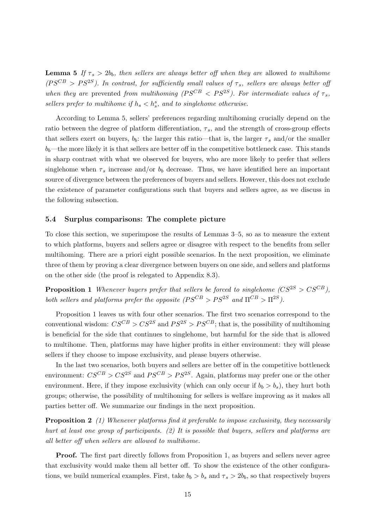**Lemma 5** If  $\tau_s > 2b_b$ , then sellers are always better off when they are allowed to multihome  $(PS^{CB} > PS^{2S})$ . In contrast, for sufficiently small values of  $\tau_s$ , sellers are always better off when they are prevented from multihoming  $(PS^{CB} < PS^{2S})$ . For intermediate values of  $\tau_s$ , sellers prefer to multihome if  $h_s < h_s^s$ , and to singlehome otherwise.

According to Lemma 5, sellers' preferences regarding multihoming crucially depend on the ratio between the degree of platform differentiation,  $\tau_s$ , and the strength of cross-group effects that sellers exert on buyers,  $b_b$ : the larger this ratio—that is, the larger  $\tau_s$  and/or the smaller  $b_b$ —the more likely it is that sellers are better off in the competitive bottleneck case. This stands in sharp contrast with what we observed for buyers, who are more likely to prefer that sellers singlehome when  $\tau_s$  increase and/or  $b_b$  decrease. Thus, we have identified here an important source of divergence between the preferences of buyers and sellers. However, this does not exclude the existence of parameter configurations such that buyers and sellers agree, as we discuss in the following subsection.

#### 5.4 Surplus comparisons: The complete picture

To close this section, we superimpose the results of Lemmas 3–5, so as to measure the extent to which platforms, buyers and sellers agree or disagree with respect to the benefits from seller multihoming. There are a priori eight possible scenarios. In the next proposition, we eliminate three of them by proving a clear divergence between buyers on one side, and sellers and platforms on the other side (the proof is relegated to Appendix 8.3).

**Proposition 1** Whenever buyers prefer that sellers be forced to singlehome  $(CS^{2S} > CS^{CB})$ , both sellers and platforms prefer the opposite  $(PS^{CB} > PS^{2S} \text{ and } \Pi^{CB} > \Pi^{2S}).$ 

Proposition 1 leaves us with four other scenarios. The first two scenarios correspond to the conventional wisdom:  $CS^{CB} > CS^{2S}$  and  $PS^{2S} > PS^{CB}$ ; that is, the possibility of multihoming is beneficial for the side that continues to singlehome, but harmful for the side that is allowed to multihome. Then, platforms may have higher profits in either environment: they will please sellers if they choose to impose exclusivity, and please buyers otherwise.

In the last two scenarios, both buyers and sellers are better off in the competitive bottleneck environment:  $CS^{CB} > CS^{2S}$  and  $PS^{CB} > PS^{2S}$ . Again, platforms may prefer one or the other environment. Here, if they impose exclusivity (which can only occur if  $b_b > b_s$ ), they hurt both groups; otherwise, the possibility of multihoming for sellers is welfare improving as it makes all parties better off. We summarize our findings in the next proposition.

**Proposition 2** (1) Whenever platforms find it preferable to impose exclusivity, they necessarily hurt at least one group of participants. (2) It is possible that buyers, sellers and platforms are all better off when sellers are allowed to multihome.

Proof. The first part directly follows from Proposition 1, as buyers and sellers never agree that exclusivity would make them all better off. To show the existence of the other configurations, we build numerical examples. First, take  $b_b > b_s$  and  $\tau_s > 2b_b$ , so that respectively buyers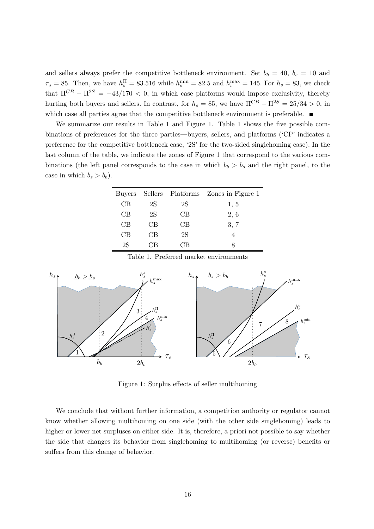and sellers always prefer the competitive bottleneck environment. Set  $b_b = 40$ ,  $b_s = 10$  and  $\tau_s = 85$ . Then, we have  $h_s^{\Pi} = 83.516$  while  $h_s^{\text{min}} = 82.5$  and  $h_s^{\text{max}} = 145$ . For  $h_s = 83$ , we check that  $\Pi^{CB} - \Pi^{2S} = -43/170 < 0$ , in which case platforms would impose exclusivity, thereby hurting both buyers and sellers. In contrast, for  $h_s = 85$ , we have  $\Pi^{CB} - \Pi^{2S} = 25/34 > 0$ , in which case all parties agree that the competitive bottleneck environment is preferable.

We summarize our results in Table 1 and Figure 1. Table 1 shows the five possible combinations of preferences for the three parties—buyers, sellers, and platforms ('CP' indicates a preference for the competitive bottleneck case, '2S' for the two-sided singlehoming case). In the last column of the table, we indicate the zones of Figure 1 that correspond to the various combinations (the left panel corresponds to the case in which  $b_b > b_s$  and the right panel, to the case in which  $b_s > b_b$ ).

| <b>Buyers</b> |    |    | Sellers Platforms Zones in Figure 1 |
|---------------|----|----|-------------------------------------|
| CВ            | 2S | 2S | 1, 5                                |
| CB            | 2S | CВ | 2, 6                                |
| CВ            | CВ | CВ | 3, 7                                |
| CВ            | CВ | 2S |                                     |
| 2S            |    |    |                                     |



Table 1. Preferred market environments

Figure 1: Surplus effects of seller multihoming

We conclude that without further information, a competition authority or regulator cannot know whether allowing multihoming on one side (with the other side singlehoming) leads to higher or lower net surpluses on either side. It is, therefore, a priori not possible to say whether the side that changes its behavior from singlehoming to multihoming (or reverse) benefits or suffers from this change of behavior.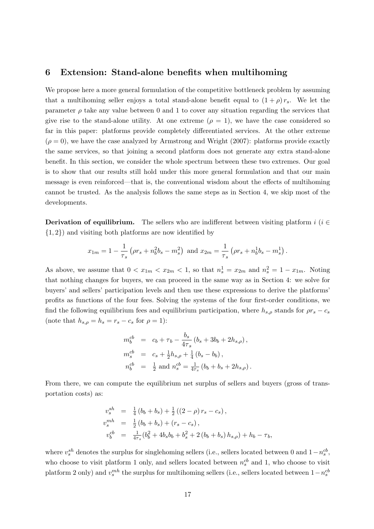### 6 Extension: Stand-alone benefits when multihoming

We propose here a more general formulation of the competitive bottleneck problem by assuming that a multihoming seller enjoys a total stand-alone benefit equal to  $(1 + \rho) r_s$ . We let the parameter  $\rho$  take any value between 0 and 1 to cover any situation regarding the services that give rise to the stand-alone utility. At one extreme ( $\rho = 1$ ), we have the case considered so far in this paper: platforms provide completely differentiated services. At the other extreme  $(\rho = 0)$ , we have the case analyzed by Armstrong and Wright (2007): platforms provide exactly the same services, so that joining a second platform does not generate any extra stand-alone benefit. In this section, we consider the whole spectrum between these two extremes. Our goal is to show that our results still hold under this more general formulation and that our main message is even reinforced—that is, the conventional wisdom about the effects of multihoming cannot be trusted. As the analysis follows the same steps as in Section 4, we skip most of the developments.

**Derivation of equilibrium.** The sellers who are indifferent between visiting platform  $i$  ( $i \in$ {1, 2}) and visiting both platforms are now identified by

$$
x_{1m} = 1 - \frac{1}{\tau_s} \left(\rho r_s + n_b^2 b_s - m_s^2\right)
$$
 and  $x_{2m} = \frac{1}{\tau_s} \left(\rho r_s + n_b^1 b_s - m_s^1\right)$ .

As above, we assume that  $0 < x_{1m} < x_{2m} < 1$ , so that  $n_s^1 = x_{2m}$  and  $n_s^2 = 1 - x_{1m}$ . Noting that nothing changes for buyers, we can proceed in the same way as in Section 4: we solve for buyers' and sellers' participation levels and then use these expressions to derive the platforms' profits as functions of the four fees. Solving the systems of the four first-order conditions, we find the following equilibrium fees and equilibrium participation, where  $h_{s,\rho}$  stands for  $\rho r_s - c_s$ (note that  $h_{s,\rho} = h_s = r_s - c_s$  for  $\rho = 1$ ):

$$
m_b^{cb} = c_b + \tau_b - \frac{b_s}{4\tau_s} (b_s + 3b_b + 2h_{s,\rho}),
$$
  
\n
$$
m_s^{cb} = c_s + \frac{1}{2}h_{s,\rho} + \frac{1}{4} (b_s - b_b),
$$
  
\n
$$
n_b^{cb} = \frac{1}{2} \text{ and } n_s^{cb} = \frac{1}{4\tau_s} (b_b + b_s + 2h_{s,\rho}).
$$

From there, we can compute the equilibrium net surplus of sellers and buyers (gross of transportation costs) as:

$$
v_s^{sh} = \frac{1}{4} (b_b + b_s) + \frac{1}{2} ((2 - \rho) r_s - c_s),
$$
  
\n
$$
v_s^{mh} = \frac{1}{2} (b_b + b_s) + (r_s - c_s),
$$
  
\n
$$
v_b^{cb} = \frac{1}{4\tau_s} (b_b^2 + 4b_s b_b + b_s^2 + 2 (b_b + b_s) h_{s,\rho}) + h_b - \tau_b,
$$

where  $v_s^{sh}$  denotes the surplus for singlehoming sellers (i.e., sellers located between 0 and  $1-n_s^{cb}$ , who choose to visit platform 1 only, and sellers located between  $n_s^{cb}$  and 1, who choose to visit platform 2 only) and  $v_s^{mh}$  the surplus for multihoming sellers (i.e., sellers located between  $1-n_s^{ct}$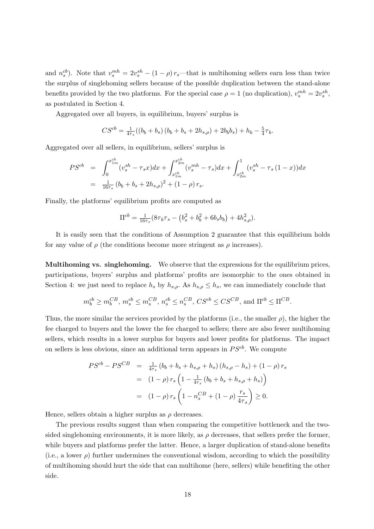and  $n_s^{cb}$ ). Note that  $v_s^{mh} = 2v_s^{sh} - (1 - \rho) r_s$ —that is multihoming sellers earn less than twice the surplus of singlehoming sellers because of the possible duplication between the stand-alone benefits provided by the two platforms. For the special case  $\rho = 1$  (no duplication),  $v_s^{mh} = 2v_s^{sh}$ , as postulated in Section 4.

Aggregated over all buyers, in equilibrium, buyers' surplus is

$$
CS^{cb} = \frac{1}{4\tau_s}((b_b + b_s)(b_b + b_s + 2h_{s,\rho}) + 2b_b b_s) + h_b - \frac{5}{4}\tau_b.
$$

Aggregated over all sellers, in equilibrium, sellers' surplus is

$$
PS^{cb} = \int_0^{x_{1m}^{cb}} (v_s^{sh} - \tau_s x) dx + \int_{x_{1m}^{cb}}^{x_{2m}^{cb}} (v_s^{mh} - \tau_s) dx + \int_{x_{2m}^{cb}}^{1} (v_s^{sh} - \tau_s (1 - x)) dx
$$
  
=  $\frac{1}{16\tau_s} (b_b + b_s + 2h_{s,\rho})^2 + (1 - \rho) r_s.$ 

Finally, the platforms' equilibrium profits are computed as

$$
\Pi^{cb} = \frac{1}{16\tau_s} (8\tau_b \tau_s - (b_s^2 + b_b^2 + 6b_s b_b) + 4h_{s,\rho}^2).
$$

It is easily seen that the conditions of Assumption 2 guarantee that this equilibrium holds for any value of  $\rho$  (the conditions become more stringent as  $\rho$  increases).

Multihoming vs. singlehoming. We observe that the expressions for the equilibrium prices, participations, buyers' surplus and platforms' profits are isomorphic to the ones obtained in Section 4: we just need to replace  $h_s$  by  $h_{s,\rho}$ . As  $h_{s,\rho} \leq h_s$ , we can immediately conclude that

$$
m_b^{cb} \ge m_b^{CB}, m_s^{cb} \le m_s^{CB}, n_s^{cb} \le n_s^{CB}, CS^{cb} \le CS^{CB}, \text{ and } \Pi^{cb} \le \Pi^{CB}.
$$

Thus, the more similar the services provided by the platforms (i.e., the smaller  $\rho$ ), the higher the fee charged to buyers and the lower the fee charged to sellers; there are also fewer multihoming sellers, which results in a lower surplus for buyers and lower profits for platforms. The impact on sellers is less obvious, since an additional term appears in  $PS^{cb}$ . We compute

$$
PS^{cb} - PS^{CB} = \frac{1}{4\tau_s} (b_b + b_s + h_{s,\rho} + h_s) (h_{s,\rho} - h_s) + (1 - \rho) r_s
$$
  
=  $(1 - \rho) r_s \left( 1 - \frac{1}{4\tau_s} (b_b + b_s + h_{s,\rho} + h_s) \right)$   
=  $(1 - \rho) r_s \left( 1 - n_s^{CB} + (1 - \rho) \frac{r_s}{4\tau_s} \right) \ge 0.$ 

Hence, sellers obtain a higher surplus as  $\rho$  decreases.

The previous results suggest than when comparing the competitive bottleneck and the twosided singlehoming environments, it is more likely, as  $\rho$  decreases, that sellers prefer the former, while buyers and platforms prefer the latter. Hence, a larger duplication of stand-alone benefits (i.e., a lower  $\rho$ ) further undermines the conventional wisdom, according to which the possibility of multihoming should hurt the side that can multihome (here, sellers) while benefiting the other side.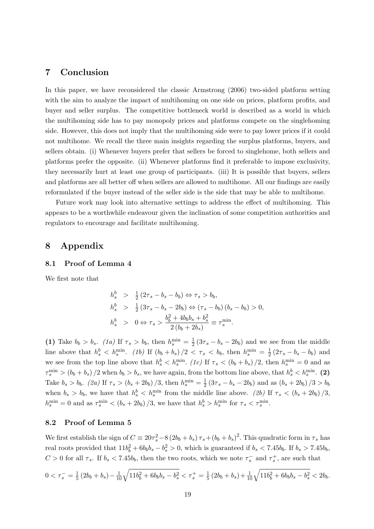# 7 Conclusion

In this paper, we have reconsidered the classic Armstrong (2006) two-sided platform setting with the aim to analyze the impact of multihoming on one side on prices, platform profits, and buyer and seller surplus. The competitive bottleneck world is described as a world in which the multihoming side has to pay monopoly prices and platforms compete on the singlehoming side. However, this does not imply that the multihoming side were to pay lower prices if it could not multihome. We recall the three main insights regarding the surplus platforms, buyers, and sellers obtain. (i) Whenever buyers prefer that sellers be forced to singlehome, both sellers and platforms prefer the opposite. (ii) Whenever platforms find it preferable to impose exclusivity, they necessarily hurt at least one group of participants. (iii) It is possible that buyers, sellers and platforms are all better off when sellers are allowed to multihome. All our findings are easily reformulated if the buyer instead of the seller side is the side that may be able to multihome.

Future work may look into alternative settings to address the effect of multihoming. This appears to be a worthwhile endeavour given the inclination of some competition authorities and regulators to encourage and facilitate multihoming.

# 8 Appendix

#### 8.1 Proof of Lemma 4

We first note that

$$
h_s^b > \frac{1}{2} (2\tau_s - b_s - b_b) \Leftrightarrow \tau_s > b_b,
$$
  
\n
$$
h_s^b > \frac{1}{2} (3\tau_s - b_s - 2b_b) \Leftrightarrow (\tau_s - b_b) (b_s - b_b) > 0,
$$
  
\n
$$
h_s^b > 0 \Leftrightarrow \tau_s > \frac{b_b^2 + 4b_b b_s + b_s^2}{2 (b_b + 2b_s)} \equiv \tau_s^{\min}.
$$

(1) Take  $b_b > b_s$ . (1a) If  $\tau_s > b_b$ , then  $h_s^{\min} = \frac{1}{2}$  $\frac{1}{2}(3\tau_s - b_s - 2b_b)$  and we see from the middle line above that  $h_s^b < h_s^{\min}$ . (1b) If  $(b_b + b_s)/2 < \tau_s < b_b$ , then  $h_s^{\min} = \frac{1}{2}$  $\frac{1}{2}(2\tau_s - b_s - b_b)$  and we see from the top line above that  $h_s^b < h_s^{\min}$ . (1c) If  $\tau_s < (b_b + b_s)/2$ , then  $h_s^{\min} = 0$  and as  $\tau_s^{\min} > (b_b + b_s)/2$  when  $b_b > b_s$ , we have again, from the bottom line above, that  $h_s^b < h_s^{\min}$ . (2) Take  $b_s > b_b$ . (2a) If  $\tau_s > (b_s + 2b_b) / 3$ , then  $h_s^{\min} = \frac{1}{2}$  $\frac{1}{2}(3\tau_s - b_s - 2b_b)$  and as  $(b_s + 2b_b)/3 > b_b$ when  $b_s > b_b$ , we have that  $h_s^b < h_s^{\min}$  from the middle line above. (2b) If  $\tau_s < (b_s + 2b_b)/3$ ,  $h_s^{\min} = 0$  and as  $\tau_s^{\min} < (b_s + 2b_b)/3$ , we have that  $h_s^b > h_s^{\min}$  for  $\tau_s < \tau_s^{\min}$ .

#### 8.2 Proof of Lemma 5

We first establish the sign of  $C \equiv 20\tau_s^2 - 8(2b_b + b_s)\tau_s + (b_b + b_s)^2$ . This quadratic form in  $\tau_s$  has real roots provided that  $11b_b^2 + 6b_bb_s - b_s^2 > 0$ , which is guaranteed if  $b_s < 7.45b_b$ . If  $b_s > 7.45b_b$ ,  $C > 0$  for all  $\tau_s$ . If  $b_s < 7.45b_b$ , then the two roots, which we note  $\tau_s^-$  and  $\tau_s^+$ , are such that

$$
0 < \tau_s^- = \frac{1}{5} \left( 2b_b + b_s \right) - \frac{1}{10} \sqrt{11b_b^2 + 6b_bb_s - b_s^2} < \tau_s^+ = \frac{1}{5} \left( 2b_b + b_s \right) + \frac{1}{10} \sqrt{11b_b^2 + 6b_bb_s - b_s^2} < 2b_b.
$$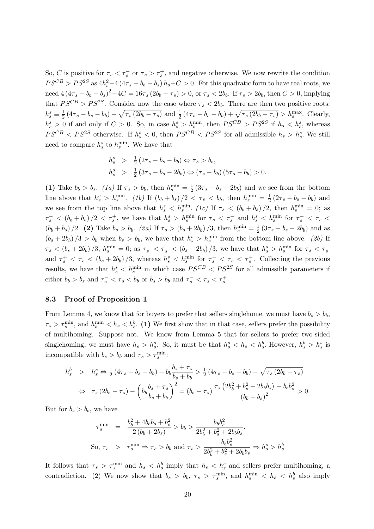So, C is positive for  $\tau_s < \tau_s^-$  or  $\tau_s > \tau_s^+$ , and negative otherwise. We now rewrite the condition  $PS^{CB} > PS^{2S}$  as  $4h_s^2 - 4(4\tau_s - b_b - b_s)h_s + C > 0$ . For this quadratic form to have real roots, we need  $4(4\tau_s - b_b - b_s)^2 - 4C = 16\tau_s (2b_b - \tau_s) > 0$ , or  $\tau_s < 2b_b$ . If  $\tau_s > 2b_b$ , then  $C > 0$ , implying that  $PS^{CB} > PS^{2S}$ . Consider now the case where  $\tau_s < 2b_b$ . There are then two positive roots:  $h_s^s \equiv \frac{1}{2}$  $\frac{1}{2}(4\tau_s - b_s - b_b) - \sqrt{\tau_s (2b_b - \tau_s)}$  and  $\frac{1}{2}(4\tau_s - b_s - b_b) + \sqrt{\tau_s (2b_b - \tau_s)} > h_s^{\max}$ . Clearly,  $h_s^s > 0$  if and only if  $C > 0$ . So, in case  $h_s^s > h_s^{\min}$ , then  $PS^{CB} > PS^{2S}$  if  $h_s < h_s^s$ , whereas  $PS^{CB} < PS^{2S}$  otherwise. If  $h_s^s < 0$ , then  $PS^{CB} < PS^{2S}$  for all admissible  $h_s > h_s^s$ . We still need to compare  $h_s^s$  to  $h_s^{\min}$ . We have that

$$
h_s^s > \frac{1}{2} (2\tau_s - b_s - b_b) \Leftrightarrow \tau_s > b_b,
$$
  
\n
$$
h_s^s > \frac{1}{2} (3\tau_s - b_s - 2b_b) \Leftrightarrow (\tau_s - b_b) (5\tau_s - b_b) > 0.
$$

(1) Take  $b_b > b_s$ . (1a) If  $\tau_s > b_b$ , then  $h_s^{\min} = \frac{1}{2}$  $\frac{1}{2}(3\tau_s - b_s - 2b_b)$  and we see from the bottom line above that  $h_s^s > h_s^{\min}$ . (1b) If  $(b_b + b_s)/2 < \tau_s < b_b$ , then  $h_s^{\min} = \frac{1}{2}$  $\frac{1}{2}(2\tau_s - b_s - b_b)$  and we see from the top line above that  $h_s^s < h_s^{\min}$ . (1c) If  $\tau_s < (b_b + b_s)/2$ , then  $h_s^{\min} = 0$ ; as  $\tau_s^ \lt (b_b + b_s)/2 < \tau_s^+$ , we have that  $h_s^s > h_s^{\min}$  for  $\tau_s < \tau_s^-$  and  $h_s^s < h_s^{\min}$  for  $\tau_s^- < \tau_s <$  $(b_b + b_s)/2$ . (2) Take  $b_s > b_b$ . (2a) If  $\tau_s > (b_s + 2b_b)/3$ , then  $h_s^{\min} = \frac{1}{2}$  $\frac{1}{2}(3\tau_{s}-b_{s}-2b_{b})$  and as  $(b_s + 2b_b)/3 > b_b$  when  $b_s > b_b$ , we have that  $h_s^s > h_s^{\text{min}}$  from the bottom line above. (2b) If  $\tau_s < (b_s + 2b_b)/3$ ,  $h_s^{\min} = 0$ ; as  $\tau_s^- < \tau_s^+ < (b_s + 2b_b)/3$ , we have that  $h_s^s > h_s^{\min}$  for  $\tau_s < \tau_s^-$ and  $\tau_s^+ < \tau_s < (b_s + 2b_b)/3$ , whereas  $h_s^s < h_s^{\min}$  for  $\tau_s^- < \tau_s < \tau_s^+$ . Collecting the previous results, we have that  $h_s^s < h_s^{\min}$  in which case  $PS^{CB} < PS^{2S}$  for all admissible parameters if either  $b_b > b_s$  and  $\tau_s^- < \tau_s < b_b$  or  $b_s > b_b$  and  $\tau_s^- < \tau_s < \tau_s^+$ .

#### 8.3 Proof of Proposition 1

From Lemma 4, we know that for buyers to prefer that sellers singlehome, we must have  $b_s > b_b$ ,  $\tau_s > \tau_s^{\min}$ , and  $h_s^{\min} < h_s < h_s^b$ . (1) We first show that in that case, sellers prefer the possibility of multihoming. Suppose not. We know from Lemma 5 that for sellers to prefer two-sided singlehoming, we must have  $h_s > h_s^s$ . So, it must be that  $h_s^s < h_s < h_s^b$ . However,  $h_s^b > h_s^s$  is incompatible with  $b_s > b_b$  and  $\tau_s > \tau_s^{\min}$ :

$$
h_s^b > h_s^s \Leftrightarrow \frac{1}{2} (4\tau_s - b_s - b_b) - b_b \frac{b_s + \tau_s}{b_s + b_b} > \frac{1}{2} (4\tau_s - b_s - b_b) - \sqrt{\tau_s (2b_b - \tau_s)}
$$
  

$$
\Leftrightarrow \tau_s (2b_b - \tau_s) - \left(b_b \frac{b_s + \tau_s}{b_s + b_b}\right)^2 = (b_b - \tau_s) \frac{\tau_s (2b_b^2 + b_s^2 + 2b_b b_s) - b_b b_s^2}{(b_b + b_s)^2} > 0.
$$

But for  $b_s > b_b$ , we have

$$
\tau_s^{\min} = \frac{b_b^2 + 4b_b b_s + b_s^2}{2(b_b + 2b_s)} > b_b > \frac{b_b b_s^2}{2b_b^2 + b_s^2 + 2b_b b_s}.
$$
  
So,  $\tau_s > \tau_s^{\min} \Rightarrow \tau_s > b_b$  and  $\tau_s > \frac{b_b b_s^2}{2b_b^2 + b_s^2 + 2b_b b_s} \Rightarrow h_s^s > h_s^b$ 

It follows that  $\tau_s > \tau_s^{\text{min}}$  and  $h_s < h_s^b$  imply that  $h_s < h_s^s$  and sellers prefer multihoming, a contradiction. (2) We now show that  $b_s > b_b$ ,  $\tau_s > \tau_s^{\min}$ , and  $h_s^{\min} < h_s < h_s^b$  also imply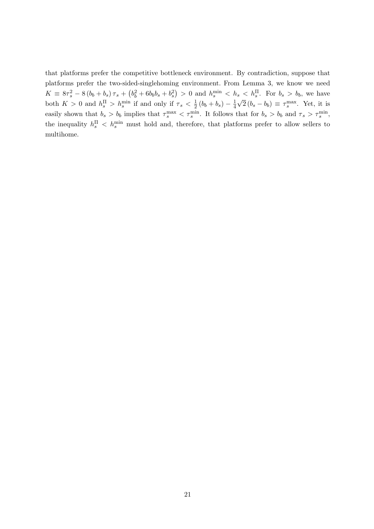that platforms prefer the competitive bottleneck environment. By contradiction, suppose that platforms prefer the two-sided-singlehoming environment. From Lemma 3, we know we need  $K \equiv 8\tau_s^2 - 8(b_b + b_s)\tau_s + (b_b^2 + 6b_b b_s + b_s^2) > 0$  and  $h_s^{\min} < h_s < h_s^{\Pi}$ . For  $b_s > b_b$ , we have both  $K > 0$  and  $h_s^{\Pi} > h_s^{\min}$  if and only if  $\tau_s < \frac{1}{2}$  $\frac{1}{2}(b_b + b_s) - \frac{1}{4}$ 4  $^{\circ}$  $\overline{2}(b_s - b_b) \equiv \tau_s^{\text{max}}$ . Yet, it is easily shown that  $b_s > b_b$  implies that  $\tau_s^{\max} < \tau_s^{\min}$ . It follows that for  $b_s > b_b$  and  $\tau_s > \tau_s^{\min}$ , the inequality  $h_s^{\Pi} < h_s^{\min}$  must hold and, therefore, that platforms prefer to allow sellers to multihome.